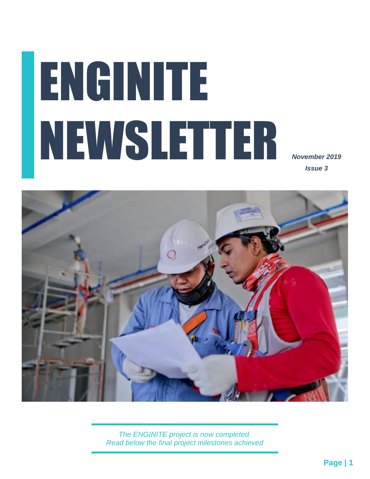# ENGINITE NEWSLETTER

*November 2019 Issue 3*



*The ENGINITE project is now completed. Read below the final project milestones achieved*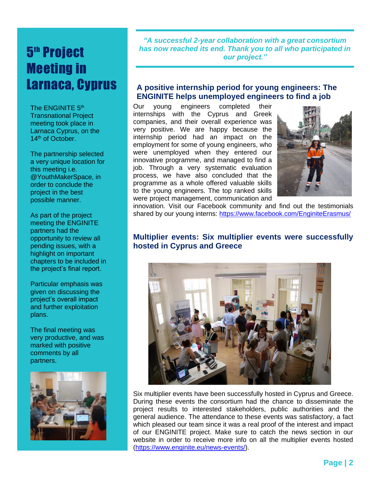# 5<sup>th</sup> Project Meeting in Larnaca, Cyprus

as meeting took place in The ENGINITE 5<sup>th</sup> Transnational Project Larnaca Cyprus, on the 14<sup>th</sup> of October.

The partnership selected a very unique location for this meeting i.e. @YouthMakerSpace, in order to conclude the project in the best possible manner.

As part of the project meeting the ENGINITE partners had the opportunity to review all pending issues, with a highlight on important chapters to be included in the project's final report.

Particular emphasis was given on discussing the project's overall impact and further exploitation plans.

The final meeting was very productive, and was marked with positive comments by all partners.



*"A successful 2-year collaboration with a great consortium has now reached its end. Thank you to all who participated in our project."*

### **A positive internship period for young engineers: The ENGINITE helps unemployed engineers to find a job**

Our young engineers completed their internships with the Cyprus and Greek companies, and their overall experience was very positive. We are happy because the internship period had an impact on the employment for some of young engineers, who were unemployed when they entered our innovative programme, and managed to find a job. Through a very systematic evaluation process, we have also concluded that the programme as a whole offered valuable skills to the young engineers. The top ranked skills were project management, communication and



innovation. Visit our Facebook community and find out the testimonials shared by our young interns:<https://www.facebook.com/EnginiteErasmus/>

### **Multiplier events: Six multiplier events were successfully hosted in Cyprus and Greece**



Six multiplier events have been successfully hosted in Cyprus and Greece. During these events the consortium had the chance to disseminate the project results to interested stakeholders, public authorities and the general audience. The attendance to these events was satisfactory, a fact which pleased our team since it was a real proof of the interest and impact of our ENGINITE project. Make sure to catch the news section in our website in order to receive more info on all the multiplier events hosted [\(https://www.enginite.eu/news-events/\)](https://www.enginite.eu/news-events/).